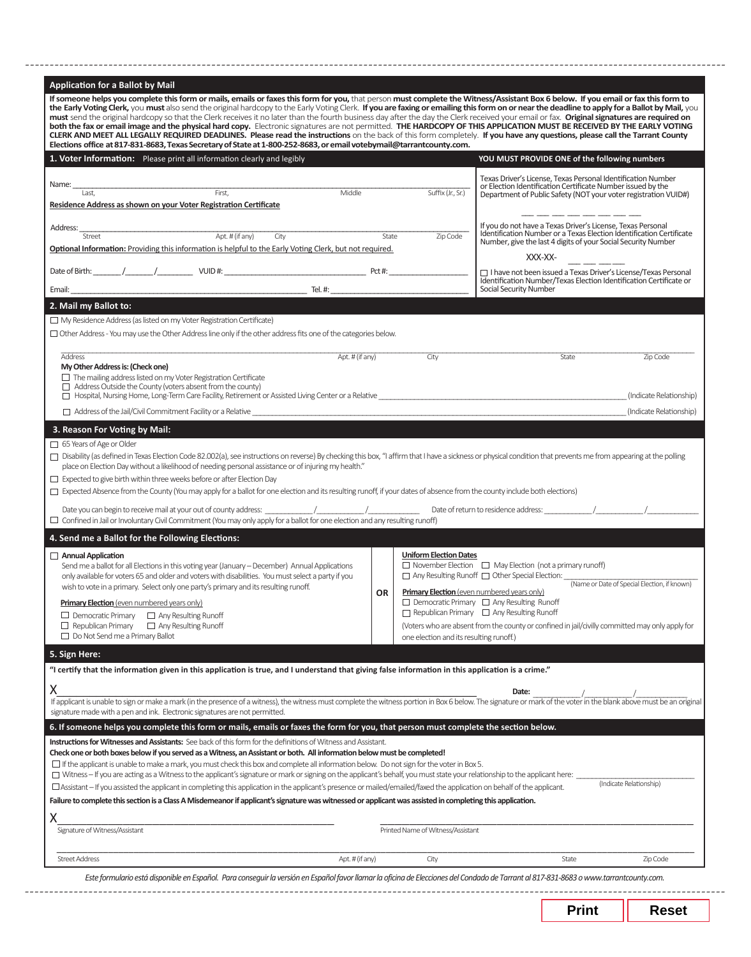| CLERK AND MEET ALL LEGALLY REQUIRED DEADLINES. Please read the instructions on the back of this form completely. If you have any questions, please call the Tarrant County<br>Elections office at 817-831-8683, Texas Secretary of State at 1-800-252-8683, or email votebymail@tarrantcounty.com.                                                                                                                                                                                                                                                                                                                                                                                                                                                                                                                                                                                                                                                                                                                                                                                                                                                                                                                                                                                                                                                                                                                                                                                                                                                                                                                                                                                                                                                                                                                                                                                          |                             |                                            |                                                                                     |                                                                                                                                                                                                                                |                                              |
|---------------------------------------------------------------------------------------------------------------------------------------------------------------------------------------------------------------------------------------------------------------------------------------------------------------------------------------------------------------------------------------------------------------------------------------------------------------------------------------------------------------------------------------------------------------------------------------------------------------------------------------------------------------------------------------------------------------------------------------------------------------------------------------------------------------------------------------------------------------------------------------------------------------------------------------------------------------------------------------------------------------------------------------------------------------------------------------------------------------------------------------------------------------------------------------------------------------------------------------------------------------------------------------------------------------------------------------------------------------------------------------------------------------------------------------------------------------------------------------------------------------------------------------------------------------------------------------------------------------------------------------------------------------------------------------------------------------------------------------------------------------------------------------------------------------------------------------------------------------------------------------------|-----------------------------|--------------------------------------------|-------------------------------------------------------------------------------------|--------------------------------------------------------------------------------------------------------------------------------------------------------------------------------------------------------------------------------|----------------------------------------------|
| 1. Voter Information: Please print all information clearly and legibly                                                                                                                                                                                                                                                                                                                                                                                                                                                                                                                                                                                                                                                                                                                                                                                                                                                                                                                                                                                                                                                                                                                                                                                                                                                                                                                                                                                                                                                                                                                                                                                                                                                                                                                                                                                                                      |                             |                                            |                                                                                     | YOU MUST PROVIDE ONE of the following numbers                                                                                                                                                                                  |                                              |
| Name:<br>Last.                                                                                                                                                                                                                                                                                                                                                                                                                                                                                                                                                                                                                                                                                                                                                                                                                                                                                                                                                                                                                                                                                                                                                                                                                                                                                                                                                                                                                                                                                                                                                                                                                                                                                                                                                                                                                                                                              | First,                      | Middle                                     | Suffix (Jr., Sr.)                                                                   | Texas Driver's License, Texas Personal Identification Number<br>or Election Identification Certificate Number issued by the                                                                                                    |                                              |
| Residence Address as shown on your Voter Registration Certificate                                                                                                                                                                                                                                                                                                                                                                                                                                                                                                                                                                                                                                                                                                                                                                                                                                                                                                                                                                                                                                                                                                                                                                                                                                                                                                                                                                                                                                                                                                                                                                                                                                                                                                                                                                                                                           |                             |                                            |                                                                                     | Department of Public Safety (NOT your voter registration VUID#)                                                                                                                                                                |                                              |
| Address:                                                                                                                                                                                                                                                                                                                                                                                                                                                                                                                                                                                                                                                                                                                                                                                                                                                                                                                                                                                                                                                                                                                                                                                                                                                                                                                                                                                                                                                                                                                                                                                                                                                                                                                                                                                                                                                                                    |                             |                                            |                                                                                     | If you do not have a Texas Driver's License, Texas Personal                                                                                                                                                                    |                                              |
| Street                                                                                                                                                                                                                                                                                                                                                                                                                                                                                                                                                                                                                                                                                                                                                                                                                                                                                                                                                                                                                                                                                                                                                                                                                                                                                                                                                                                                                                                                                                                                                                                                                                                                                                                                                                                                                                                                                      |                             | $\overline{Apt. H (if any)}$ City<br>State | Zip Code                                                                            | Identification Number or a Texas Election Identification Certificate<br>Number, give the last 4 digits of your Social Security Number                                                                                          |                                              |
| Optional Information: Providing this information is helpful to the Early Voting Clerk, but not required.                                                                                                                                                                                                                                                                                                                                                                                                                                                                                                                                                                                                                                                                                                                                                                                                                                                                                                                                                                                                                                                                                                                                                                                                                                                                                                                                                                                                                                                                                                                                                                                                                                                                                                                                                                                    |                             |                                            |                                                                                     | XXX-XX-                                                                                                                                                                                                                        |                                              |
|                                                                                                                                                                                                                                                                                                                                                                                                                                                                                                                                                                                                                                                                                                                                                                                                                                                                                                                                                                                                                                                                                                                                                                                                                                                                                                                                                                                                                                                                                                                                                                                                                                                                                                                                                                                                                                                                                             |                             |                                            |                                                                                     | □ I have not been issued a Texas Driver's License/Texas Personal<br>Identification Number/Texas Election Identification Certificate or                                                                                         |                                              |
|                                                                                                                                                                                                                                                                                                                                                                                                                                                                                                                                                                                                                                                                                                                                                                                                                                                                                                                                                                                                                                                                                                                                                                                                                                                                                                                                                                                                                                                                                                                                                                                                                                                                                                                                                                                                                                                                                             |                             |                                            |                                                                                     | Social Security Number                                                                                                                                                                                                         |                                              |
| 2. Mail my Ballot to:                                                                                                                                                                                                                                                                                                                                                                                                                                                                                                                                                                                                                                                                                                                                                                                                                                                                                                                                                                                                                                                                                                                                                                                                                                                                                                                                                                                                                                                                                                                                                                                                                                                                                                                                                                                                                                                                       |                             |                                            |                                                                                     |                                                                                                                                                                                                                                |                                              |
| $\Box$ My Residence Address (as listed on my Voter Registration Certificate)<br>$\Box$ Other Address - You may use the Other Address line only if the other address fits one of the categories below.                                                                                                                                                                                                                                                                                                                                                                                                                                                                                                                                                                                                                                                                                                                                                                                                                                                                                                                                                                                                                                                                                                                                                                                                                                                                                                                                                                                                                                                                                                                                                                                                                                                                                       |                             |                                            |                                                                                     |                                                                                                                                                                                                                                |                                              |
|                                                                                                                                                                                                                                                                                                                                                                                                                                                                                                                                                                                                                                                                                                                                                                                                                                                                                                                                                                                                                                                                                                                                                                                                                                                                                                                                                                                                                                                                                                                                                                                                                                                                                                                                                                                                                                                                                             |                             |                                            |                                                                                     |                                                                                                                                                                                                                                |                                              |
| Address<br>My Other Address is: (Check one)                                                                                                                                                                                                                                                                                                                                                                                                                                                                                                                                                                                                                                                                                                                                                                                                                                                                                                                                                                                                                                                                                                                                                                                                                                                                                                                                                                                                                                                                                                                                                                                                                                                                                                                                                                                                                                                 |                             | Apt. # (if any)                            | City                                                                                | State                                                                                                                                                                                                                          | Zip Code                                     |
| $\Box$ The mailing address listed on my Voter Registration Certificate<br>$\Box$ Address Outside the County (voters absent from the county)                                                                                                                                                                                                                                                                                                                                                                                                                                                                                                                                                                                                                                                                                                                                                                                                                                                                                                                                                                                                                                                                                                                                                                                                                                                                                                                                                                                                                                                                                                                                                                                                                                                                                                                                                 |                             |                                            |                                                                                     |                                                                                                                                                                                                                                |                                              |
|                                                                                                                                                                                                                                                                                                                                                                                                                                                                                                                                                                                                                                                                                                                                                                                                                                                                                                                                                                                                                                                                                                                                                                                                                                                                                                                                                                                                                                                                                                                                                                                                                                                                                                                                                                                                                                                                                             |                             |                                            |                                                                                     |                                                                                                                                                                                                                                | (Indicate Relationship)                      |
|                                                                                                                                                                                                                                                                                                                                                                                                                                                                                                                                                                                                                                                                                                                                                                                                                                                                                                                                                                                                                                                                                                                                                                                                                                                                                                                                                                                                                                                                                                                                                                                                                                                                                                                                                                                                                                                                                             |                             |                                            |                                                                                     | $\Box$ Address of the Jail/Civil Commitment Facility or a Relative                                                                                                                                                             | (Indicate Relationship)                      |
| place on Election Day without a likelihood of needing personal assistance or of injuring my health."                                                                                                                                                                                                                                                                                                                                                                                                                                                                                                                                                                                                                                                                                                                                                                                                                                                                                                                                                                                                                                                                                                                                                                                                                                                                                                                                                                                                                                                                                                                                                                                                                                                                                                                                                                                        |                             |                                            |                                                                                     | □ Disability (as defined in Texas Election Code 82.002(a), see instructions on reverse) By checking this box, "I affirm that I have a sickness or physical condition that prevents me from appearing at the polling            |                                              |
| Send me a ballot for all Elections in this voting year (January – December) Annual Applications<br>only available for voters 65 and older and voters with disabilities. You must select a party if you<br>wish to vote in a primary. Select only one party's primary and its resulting runoff.                                                                                                                                                                                                                                                                                                                                                                                                                                                                                                                                                                                                                                                                                                                                                                                                                                                                                                                                                                                                                                                                                                                                                                                                                                                                                                                                                                                                                                                                                                                                                                                              |                             | <b>OR</b>                                  | <b>Uniform Election Dates</b><br><b>Primary Election</b> (even numbered years only) | $\Box$ November Election $\Box$ May Election (not a primary runoff)                                                                                                                                                            | (Name or Date of Special Election, if known) |
| <b>Primary Election</b> (even numbered years only)<br>$\Box$ Democratic Primary                                                                                                                                                                                                                                                                                                                                                                                                                                                                                                                                                                                                                                                                                                                                                                                                                                                                                                                                                                                                                                                                                                                                                                                                                                                                                                                                                                                                                                                                                                                                                                                                                                                                                                                                                                                                             | $\Box$ Any Resulting Runoff |                                            |                                                                                     | $\Box$ Democratic Primary $\Box$ Any Resulting Runoff<br>$\Box$ Republican Primary $\Box$ Any Resulting Runoff                                                                                                                 |                                              |
| $\Box$ Republican Primary<br>$\Box$ Do Not Send me a Primary Ballot                                                                                                                                                                                                                                                                                                                                                                                                                                                                                                                                                                                                                                                                                                                                                                                                                                                                                                                                                                                                                                                                                                                                                                                                                                                                                                                                                                                                                                                                                                                                                                                                                                                                                                                                                                                                                         | $\Box$ Any Resulting Runoff |                                            |                                                                                     | (Voters who are absent from the county or confined in jail/civilly committed may only apply for                                                                                                                                |                                              |
|                                                                                                                                                                                                                                                                                                                                                                                                                                                                                                                                                                                                                                                                                                                                                                                                                                                                                                                                                                                                                                                                                                                                                                                                                                                                                                                                                                                                                                                                                                                                                                                                                                                                                                                                                                                                                                                                                             |                             |                                            | one election and its resulting runoff.)                                             |                                                                                                                                                                                                                                |                                              |
|                                                                                                                                                                                                                                                                                                                                                                                                                                                                                                                                                                                                                                                                                                                                                                                                                                                                                                                                                                                                                                                                                                                                                                                                                                                                                                                                                                                                                                                                                                                                                                                                                                                                                                                                                                                                                                                                                             |                             |                                            |                                                                                     | Date:<br>If applicant is unable to sign or make a mark (in the presence of a witness), the witness must complete the witness portion in Box 6 below. The signature or mark of the voter in the blank above must be an original |                                              |
|                                                                                                                                                                                                                                                                                                                                                                                                                                                                                                                                                                                                                                                                                                                                                                                                                                                                                                                                                                                                                                                                                                                                                                                                                                                                                                                                                                                                                                                                                                                                                                                                                                                                                                                                                                                                                                                                                             |                             |                                            |                                                                                     |                                                                                                                                                                                                                                | (Indicate Relationship)                      |
| 65 Years of Age or Older<br>$\Box$ Expected to give birth within three weeks before or after Election Day<br>$\Box$ Expected Absence from the County (You may apply for a ballot for one election and its resulting runoff, if your dates of absence from the county include both elections)<br>$\Box$ Confined in Jail or Involuntary Civil Commitment (You may only apply for a ballot for one election and any resulting runoff)<br>4. Send me a Ballot for the Following Elections:<br>$\Box$ Annual Application<br>5. Sign Here:<br>"I certify that the information given in this application is true, and I understand that giving false information in this application is a crime."<br>Χ<br>signature made with a pen and ink. Electronic signatures are not permitted.<br>6. If someone helps you complete this form or mails, emails or faxes the form for you, that person must complete the section below.<br>Instructions for Witnesses and Assistants: See back of this form for the definitions of Witness and Assistant.<br>Check one or both boxes below if you served as a Witness, an Assistant or both. All information below must be completed!<br>If the applicant is unable to make a mark, you must check this box and complete all information below. Do not sign for the voter in Box 5.<br>□ Witness - If you are acting as a Witness to the applicant's signature or mark or signing on the applicant's behalf, you must state your relationship to the applicant here:<br>$\Box$ Assistant – If you assisted the applicant in completing this application in the applicant's presence or mailed/emailed/faxed the application on behalf of the applicant.<br>Failure to complete this section is a Class A Misdemeanor if applicant's signature was witnessed or applicant was assisted in completing this application.<br>Χ<br>Signature of Witness/Assistant |                             |                                            | Printed Name of Witness/Assistant                                                   |                                                                                                                                                                                                                                |                                              |

| Print |  |
|-------|--|
|-------|--|